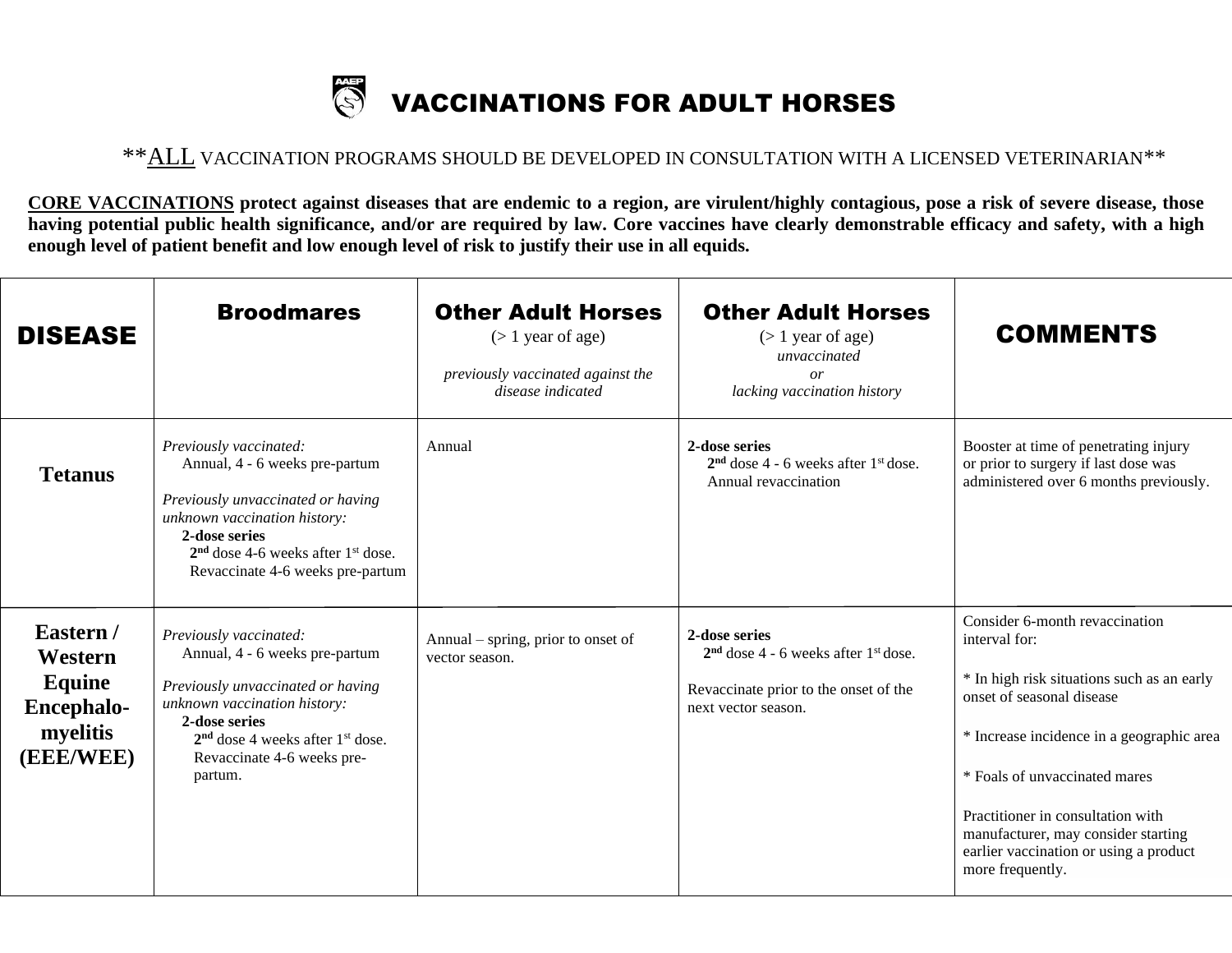## VACCINATIONS FOR ADULT HORSES **SOF**

## \*\*ALL VACCINATION PROGRAMS SHOULD BE DEVELOPED IN CONSULTATION WITH A LICENSED VETERINARIAN\*\*

**CORE VACCINATIONS protect against diseases that are endemic to a region, are virulent/highly contagious, pose a risk of severe disease, those having potential public health significance, and/or are required by law. Core vaccines have clearly demonstrable efficacy and safety, with a high enough level of patient benefit and low enough level of risk to justify their use in all equids.**

| <b>DISEASE</b>                                                               | <b>Broodmares</b>                                                                                                                                                                                                                         | <b>Other Adult Horses</b><br>$($ 1 year of age)<br>previously vaccinated against the<br>disease indicated | <b>Other Adult Horses</b><br>$($ 1 year of age)<br>unvaccinated<br>or<br>lacking vaccination history                                | <b>COMMENTS</b>                                                                                                                                                                                                                                                                                                                                    |
|------------------------------------------------------------------------------|-------------------------------------------------------------------------------------------------------------------------------------------------------------------------------------------------------------------------------------------|-----------------------------------------------------------------------------------------------------------|-------------------------------------------------------------------------------------------------------------------------------------|----------------------------------------------------------------------------------------------------------------------------------------------------------------------------------------------------------------------------------------------------------------------------------------------------------------------------------------------------|
| <b>Tetanus</b>                                                               | Previously vaccinated:<br>Annual, 4 - 6 weeks pre-partum<br>Previously unvaccinated or having<br>unknown vaccination history:<br>2-dose series<br>$2nd$ dose 4-6 weeks after 1 <sup>st</sup> dose.<br>Revaccinate 4-6 weeks pre-partum    | Annual                                                                                                    | 2-dose series<br>$2nd$ dose 4 - 6 weeks after $1st$ dose.<br>Annual revaccination                                                   | Booster at time of penetrating injury<br>or prior to surgery if last dose was<br>administered over 6 months previously.                                                                                                                                                                                                                            |
| Eastern /<br>Western<br>Equine<br><b>Encephalo-</b><br>myelitis<br>(EEE/WEE) | Previously vaccinated:<br>Annual, 4 - 6 weeks pre-partum<br>Previously unvaccinated or having<br>unknown vaccination history:<br>2-dose series<br>$2nd$ dose 4 weeks after 1 <sup>st</sup> dose.<br>Revaccinate 4-6 weeks pre-<br>partum. | Annual – spring, prior to onset of<br>vector season.                                                      | 2-dose series<br>$2nd$ dose 4 - 6 weeks after 1 <sup>st</sup> dose.<br>Revaccinate prior to the onset of the<br>next vector season. | Consider 6-month revaccination<br>interval for:<br>* In high risk situations such as an early<br>onset of seasonal disease<br>* Increase incidence in a geographic area<br>* Foals of unvaccinated mares<br>Practitioner in consultation with<br>manufacturer, may consider starting<br>earlier vaccination or using a product<br>more frequently. |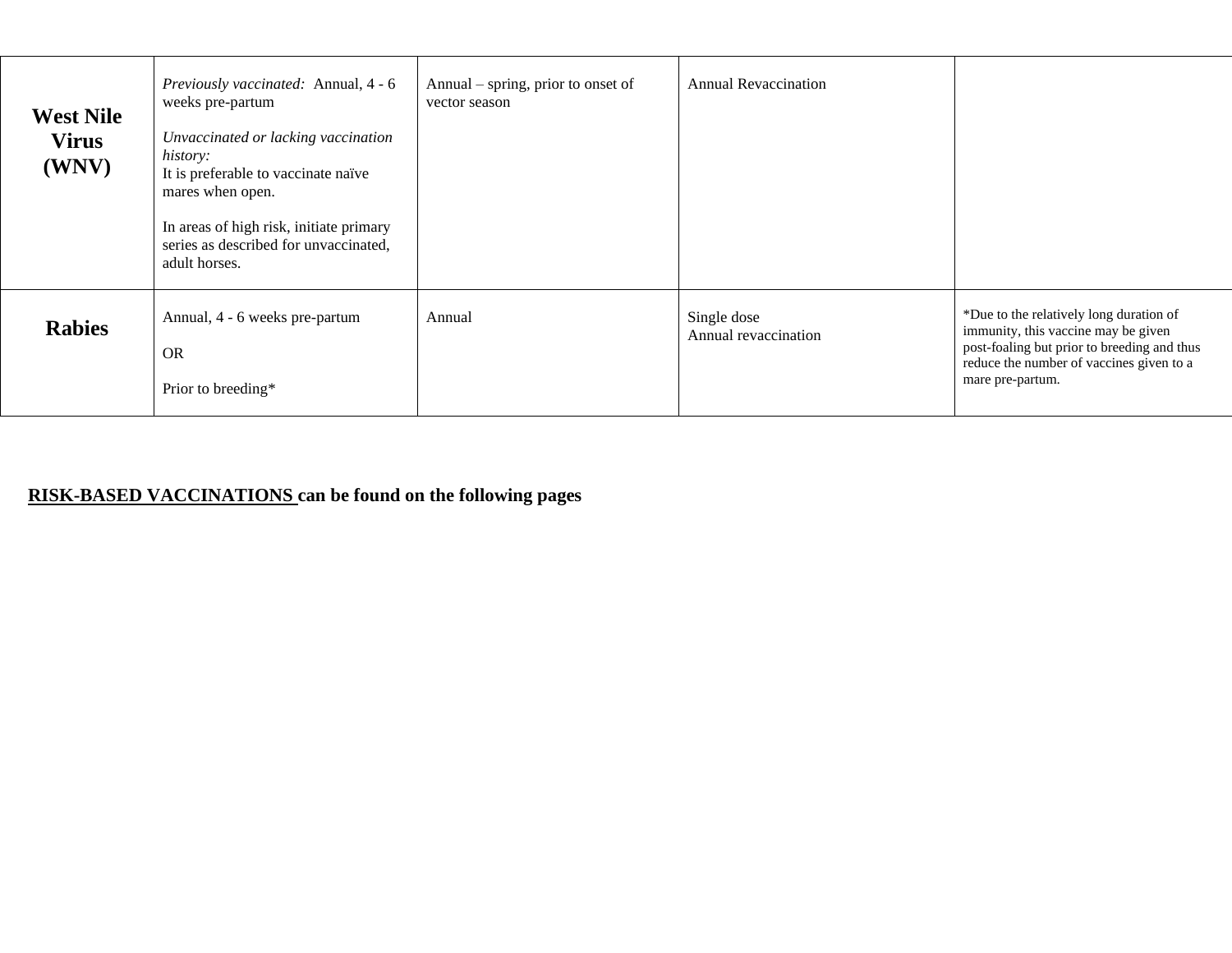| <b>West Nile</b><br><b>Virus</b><br>(WNV) | <i>Previously vaccinated:</i> Annual, 4 - 6<br>weeks pre-partum<br>Unvaccinated or lacking vaccination<br>history:<br>It is preferable to vaccinate naïve<br>mares when open.<br>In areas of high risk, initiate primary<br>series as described for unvaccinated,<br>adult horses. | Annual – spring, prior to onset of<br>vector season | <b>Annual Revaccination</b>         |                                                                                                                                                                                               |
|-------------------------------------------|------------------------------------------------------------------------------------------------------------------------------------------------------------------------------------------------------------------------------------------------------------------------------------|-----------------------------------------------------|-------------------------------------|-----------------------------------------------------------------------------------------------------------------------------------------------------------------------------------------------|
| <b>Rabies</b>                             | Annual, 4 - 6 weeks pre-partum<br><b>OR</b><br>Prior to breeding*                                                                                                                                                                                                                  | Annual                                              | Single dose<br>Annual revaccination | *Due to the relatively long duration of<br>immunity, this vaccine may be given<br>post-foaling but prior to breeding and thus<br>reduce the number of vaccines given to a<br>mare pre-partum. |

## **RISK-BASED VACCINATIONS can be found on the following pages**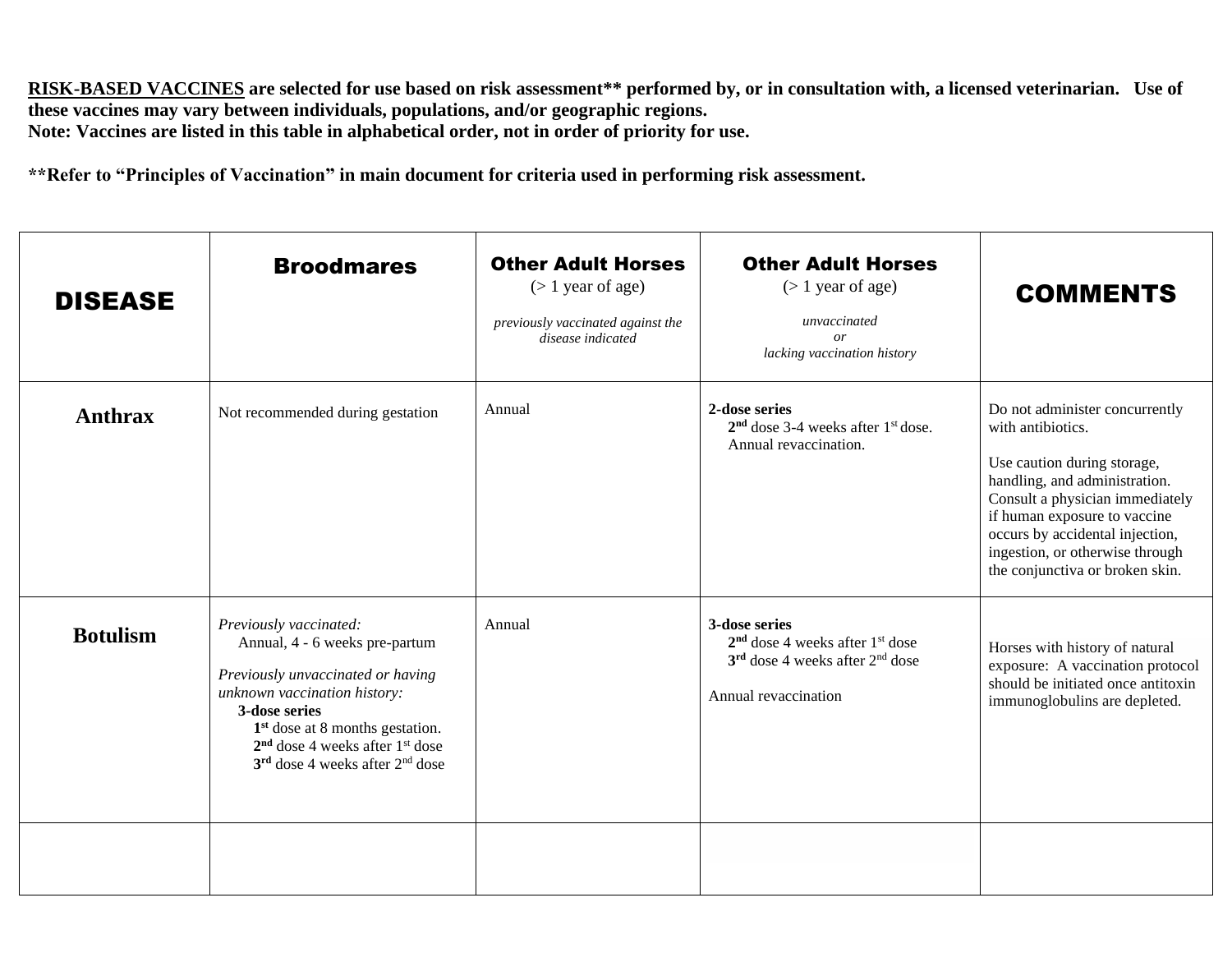**RISK-BASED VACCINES are selected for use based on risk assessment\*\* performed by, or in consultation with, a licensed veterinarian. Use of these vaccines may vary between individuals, populations, and/or geographic regions. Note: Vaccines are listed in this table in alphabetical order, not in order of priority for use.**

**\*\*Refer to "Principles of Vaccination" in main document for criteria used in performing risk assessment.** 

| <b>DISEASE</b>  | <b>Broodmares</b>                                                                                                                                                                                                                                                           | <b>Other Adult Horses</b><br>$($ 1 year of age)<br>previously vaccinated against the<br>disease indicated | <b>Other Adult Horses</b><br>$($ 1 year of age)<br>unvaccinated<br><i>or</i><br>lacking vaccination history                   | <b>COMMENTS</b>                                                                                                                                                                                                                                                                                 |
|-----------------|-----------------------------------------------------------------------------------------------------------------------------------------------------------------------------------------------------------------------------------------------------------------------------|-----------------------------------------------------------------------------------------------------------|-------------------------------------------------------------------------------------------------------------------------------|-------------------------------------------------------------------------------------------------------------------------------------------------------------------------------------------------------------------------------------------------------------------------------------------------|
| <b>Anthrax</b>  | Not recommended during gestation                                                                                                                                                                                                                                            | Annual                                                                                                    | 2-dose series<br>$2nd$ dose 3-4 weeks after $1st$ dose.<br>Annual revaccination.                                              | Do not administer concurrently<br>with antibiotics.<br>Use caution during storage,<br>handling, and administration.<br>Consult a physician immediately<br>if human exposure to vaccine<br>occurs by accidental injection,<br>ingestion, or otherwise through<br>the conjunctiva or broken skin. |
| <b>Botulism</b> | Previously vaccinated:<br>Annual, 4 - 6 weeks pre-partum<br>Previously unvaccinated or having<br>unknown vaccination history:<br>3-dose series<br>1 <sup>st</sup> dose at 8 months gestation.<br>$2nd$ dose 4 weeks after $1st$ dose<br>$3rd$ dose 4 weeks after $2nd$ dose | Annual                                                                                                    | 3-dose series<br>$2nd$ dose 4 weeks after 1 <sup>st</sup> dose<br>$3rd$ dose 4 weeks after $2nd$ dose<br>Annual revaccination | Horses with history of natural<br>exposure: A vaccination protocol<br>should be initiated once antitoxin<br>immunoglobulins are depleted.                                                                                                                                                       |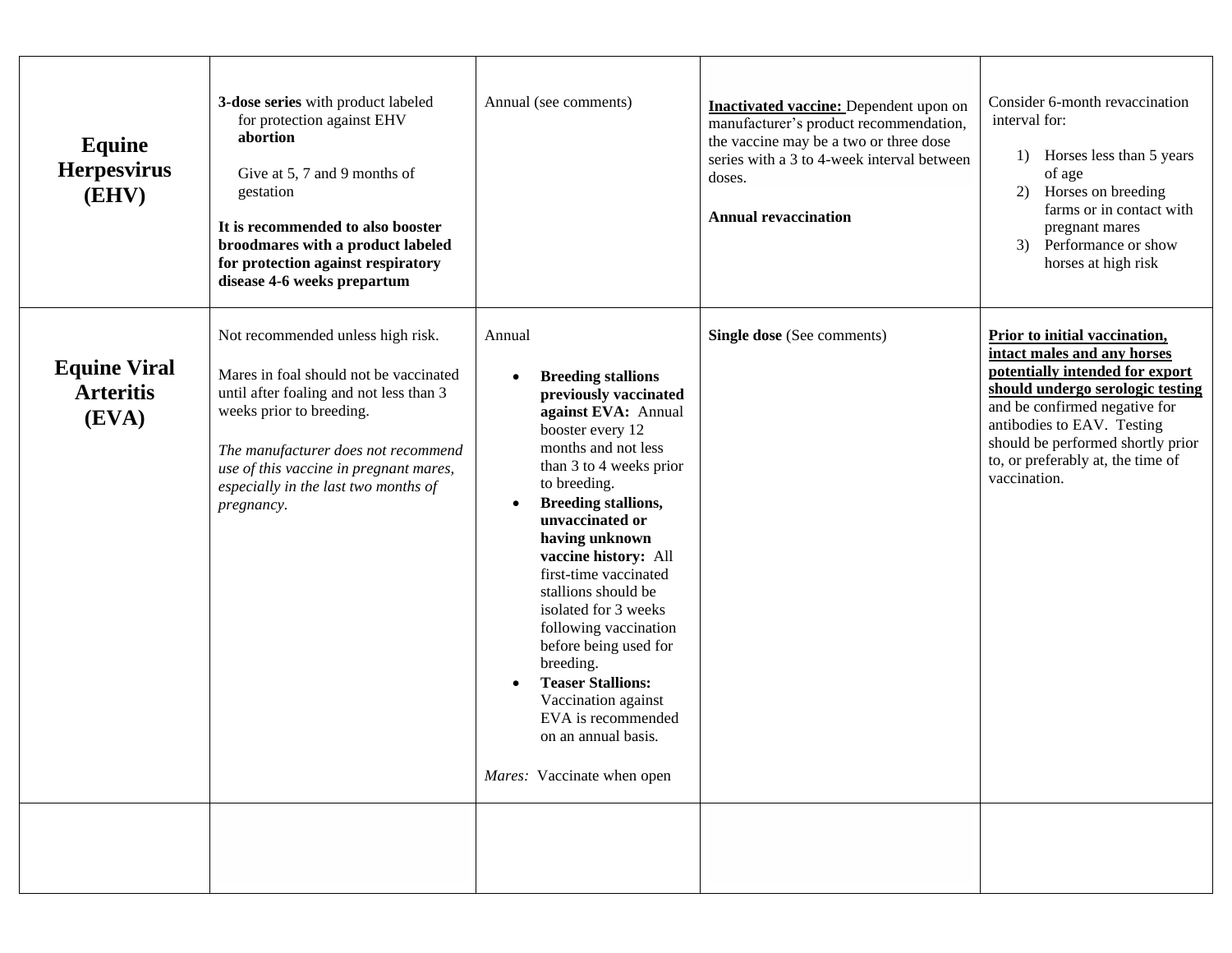| Equine<br><b>Herpesvirus</b><br>(EHV)            | 3-dose series with product labeled<br>for protection against EHV<br>abortion<br>Give at 5, 7 and 9 months of<br>gestation<br>It is recommended to also booster<br>broodmares with a product labeled<br>for protection against respiratory<br>disease 4-6 weeks prepartum                  | Annual (see comments)                                                                                                                                                                                                                                                                                                                                                                                                                                                                                                                     | <b>Inactivated vaccine:</b> Dependent upon on<br>manufacturer's product recommendation,<br>the vaccine may be a two or three dose<br>series with a 3 to 4-week interval between<br>doses.<br><b>Annual revaccination</b> | Consider 6-month revaccination<br>interval for:<br>1) Horses less than 5 years<br>of age<br>Horses on breeding<br>2)<br>farms or in contact with<br>pregnant mares<br>3) Performance or show<br>horses at high risk                                                                          |
|--------------------------------------------------|-------------------------------------------------------------------------------------------------------------------------------------------------------------------------------------------------------------------------------------------------------------------------------------------|-------------------------------------------------------------------------------------------------------------------------------------------------------------------------------------------------------------------------------------------------------------------------------------------------------------------------------------------------------------------------------------------------------------------------------------------------------------------------------------------------------------------------------------------|--------------------------------------------------------------------------------------------------------------------------------------------------------------------------------------------------------------------------|----------------------------------------------------------------------------------------------------------------------------------------------------------------------------------------------------------------------------------------------------------------------------------------------|
| <b>Equine Viral</b><br><b>Arteritis</b><br>(EVA) | Not recommended unless high risk.<br>Mares in foal should not be vaccinated<br>until after foaling and not less than 3<br>weeks prior to breeding.<br>The manufacturer does not recommend<br>use of this vaccine in pregnant mares,<br>especially in the last two months of<br>pregnancy. | Annual<br><b>Breeding stallions</b><br>previously vaccinated<br>against EVA: Annual<br>booster every 12<br>months and not less<br>than 3 to 4 weeks prior<br>to breeding.<br><b>Breeding stallions,</b><br>unvaccinated or<br>having unknown<br>vaccine history: All<br>first-time vaccinated<br>stallions should be<br>isolated for 3 weeks<br>following vaccination<br>before being used for<br>breeding.<br><b>Teaser Stallions:</b><br>Vaccination against<br>EVA is recommended<br>on an annual basis.<br>Mares: Vaccinate when open | Single dose (See comments)                                                                                                                                                                                               | Prior to initial vaccination,<br>intact males and any horses<br>potentially intended for export<br>should undergo serologic testing<br>and be confirmed negative for<br>antibodies to EAV. Testing<br>should be performed shortly prior<br>to, or preferably at, the time of<br>vaccination. |
|                                                  |                                                                                                                                                                                                                                                                                           |                                                                                                                                                                                                                                                                                                                                                                                                                                                                                                                                           |                                                                                                                                                                                                                          |                                                                                                                                                                                                                                                                                              |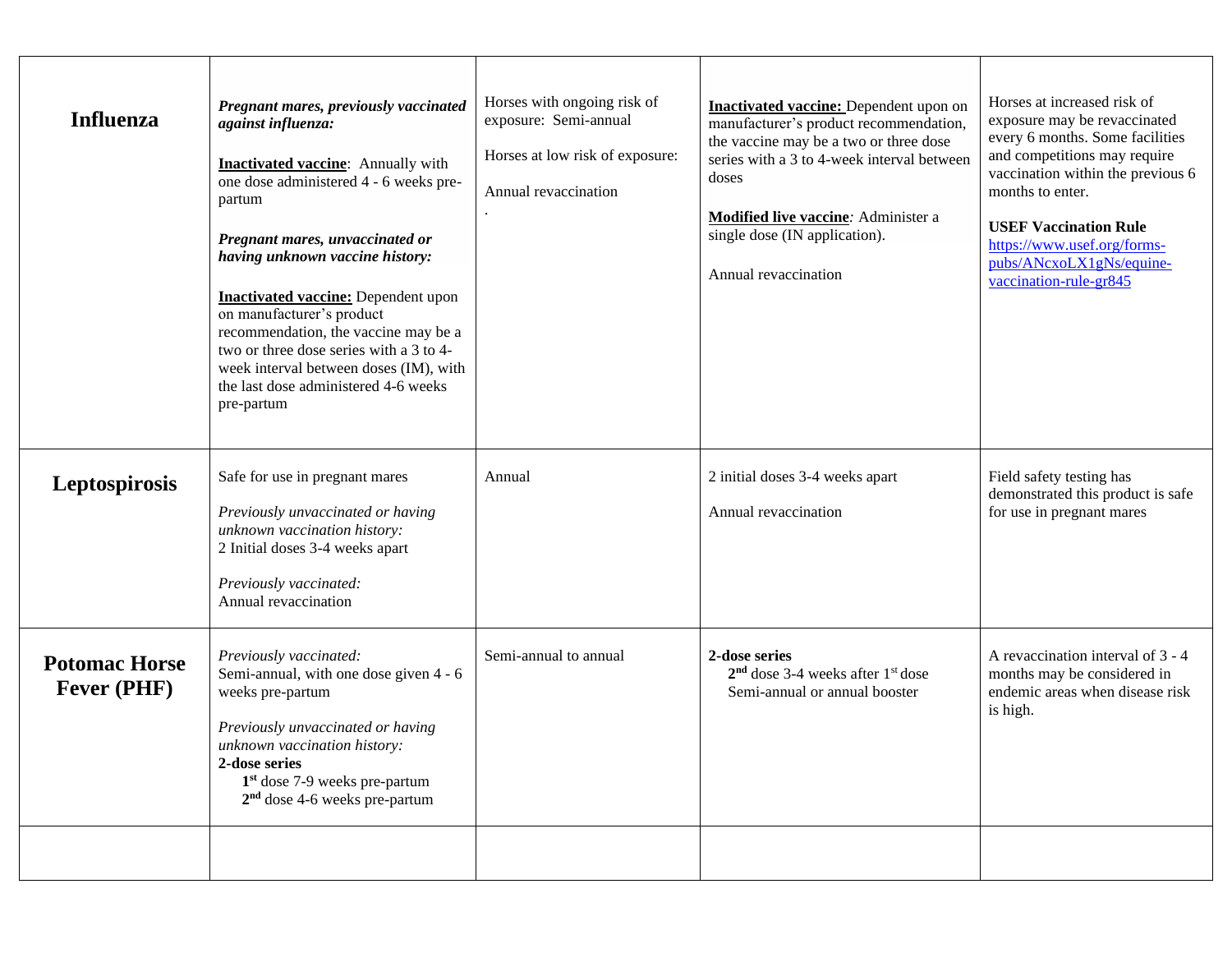| <b>Influenza</b>                           | Pregnant mares, previously vaccinated<br>against influenza:<br><b>Inactivated vaccine:</b> Annually with<br>one dose administered 4 - 6 weeks pre-<br>partum<br>Pregnant mares, unvaccinated or<br>having unknown vaccine history:<br><b>Inactivated vaccine:</b> Dependent upon<br>on manufacturer's product<br>recommendation, the vaccine may be a<br>two or three dose series with a 3 to 4-<br>week interval between doses (IM), with<br>the last dose administered 4-6 weeks<br>pre-partum | Horses with ongoing risk of<br>exposure: Semi-annual<br>Horses at low risk of exposure:<br>Annual revaccination | <b>Inactivated vaccine:</b> Dependent upon on<br>manufacturer's product recommendation,<br>the vaccine may be a two or three dose<br>series with a 3 to 4-week interval between<br>doses<br>Modified live vaccine: Administer a<br>single dose (IN application).<br>Annual revaccination | Horses at increased risk of<br>exposure may be revaccinated<br>every 6 months. Some facilities<br>and competitions may require<br>vaccination within the previous 6<br>months to enter.<br><b>USEF Vaccination Rule</b><br>https://www.usef.org/forms-<br>pubs/ANcxoLX1gNs/equine-<br>vaccination-rule-gr845 |
|--------------------------------------------|--------------------------------------------------------------------------------------------------------------------------------------------------------------------------------------------------------------------------------------------------------------------------------------------------------------------------------------------------------------------------------------------------------------------------------------------------------------------------------------------------|-----------------------------------------------------------------------------------------------------------------|------------------------------------------------------------------------------------------------------------------------------------------------------------------------------------------------------------------------------------------------------------------------------------------|--------------------------------------------------------------------------------------------------------------------------------------------------------------------------------------------------------------------------------------------------------------------------------------------------------------|
| Leptospirosis                              | Safe for use in pregnant mares<br>Previously unvaccinated or having<br>unknown vaccination history:<br>2 Initial doses 3-4 weeks apart<br>Previously vaccinated:<br>Annual revaccination                                                                                                                                                                                                                                                                                                         | Annual                                                                                                          | 2 initial doses 3-4 weeks apart<br>Annual revaccination                                                                                                                                                                                                                                  | Field safety testing has<br>demonstrated this product is safe<br>for use in pregnant mares                                                                                                                                                                                                                   |
| <b>Potomac Horse</b><br><b>Fever (PHF)</b> | Previously vaccinated:<br>Semi-annual, with one dose given 4 - 6<br>weeks pre-partum<br>Previously unvaccinated or having<br>unknown vaccination history:<br>2-dose series<br>$1st$ dose 7-9 weeks pre-partum<br>$2nd$ dose 4-6 weeks pre-partum                                                                                                                                                                                                                                                 | Semi-annual to annual                                                                                           | 2-dose series<br>$2nd$ dose 3-4 weeks after $1st$ dose<br>Semi-annual or annual booster                                                                                                                                                                                                  | A revaccination interval of 3 - 4<br>months may be considered in<br>endemic areas when disease risk<br>is high.                                                                                                                                                                                              |
|                                            |                                                                                                                                                                                                                                                                                                                                                                                                                                                                                                  |                                                                                                                 |                                                                                                                                                                                                                                                                                          |                                                                                                                                                                                                                                                                                                              |